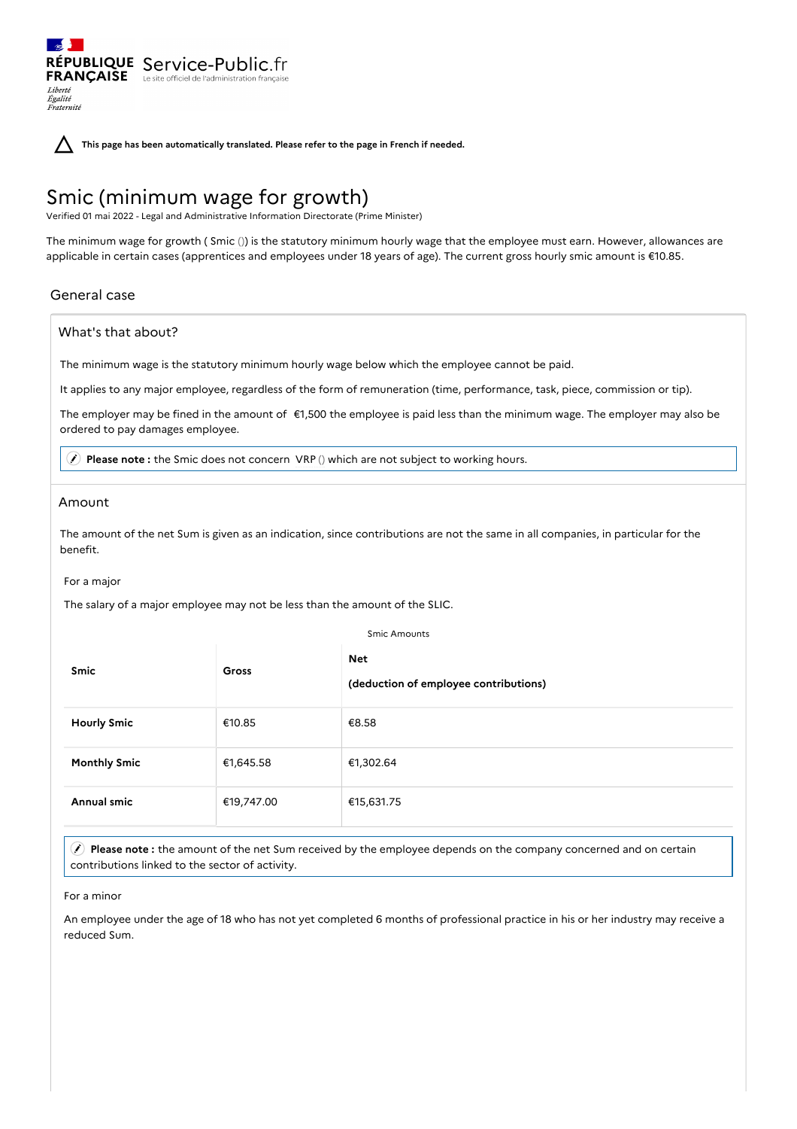**This page has been automatically translated. Please refer to the page in French if needed.**

# Smic (minimum wage for growth)

RÉPUBLIQUE Service-Public.fr **FRANÇAISE** Le site officiel de l'administration fran

Verified 01 mai 2022 - Legal and Administrative Information Directorate (Prime Minister)

The minimum wage for growth ( Smic ()) is the statutory minimum hourly wage that the employee must earn. However, allowances are applicable in certain cases (apprentices and employees under 18 years of age). The current gross hourly smic amount is €10.85.

## General case

Liberté Égalité<br>Fraternité

### What's that about?

The minimum wage is the statutory minimum hourly wage below which the employee cannot be paid.

It applies to any major employee, regardless of the form of remuneration (time, performance, task, piece, commission or tip).

The employer may be fined in the amount of €1,500 the employee is paid less than the minimum wage. The employer may also be ordered to pay damages employee.

**Please note :** the Smic does not concern VRP () which are not subject to working hours.

#### Amount

The amount of the net Sum is given as an indication, since contributions are not the same in all companies, in particular for the benefit.

For a major

The salary of a major employee may not be less than the amount of the SLIC.

Smic Amounts

| Smic                | Gross      | <b>Net</b><br>(deduction of employee contributions) |
|---------------------|------------|-----------------------------------------------------|
| <b>Hourly Smic</b>  | €10.85     | €8.58                                               |
| <b>Monthly Smic</b> | €1,645.58  | €1,302.64                                           |
| Annual smic         | €19,747.00 | €15,631.75                                          |

 **Please note :** the amount of the net Sum received by the employee depends on the company concerned and on certain contributions linked to the sector of activity.

For a minor

An employee under the age of 18 who has not yet completed 6 months of professional practice in his or her industry may receive a reduced Sum.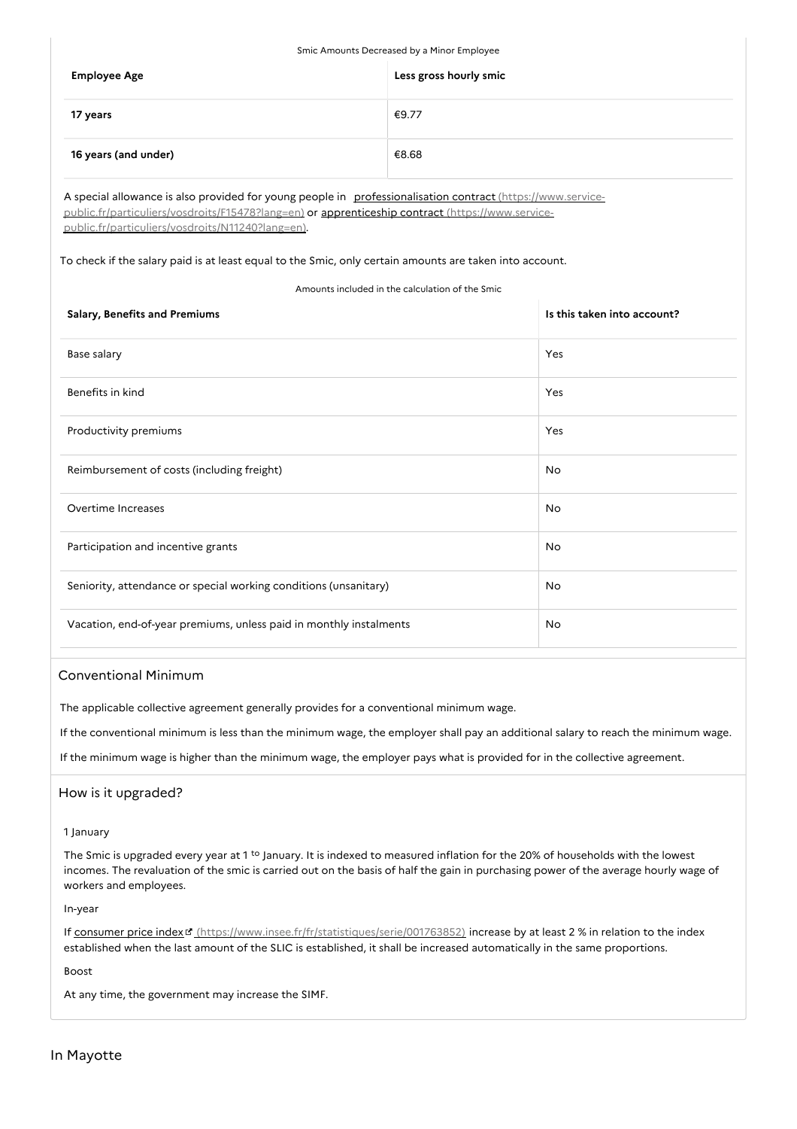| Smic Amounts Decreased by a Minor Employee |                        |  |  |  |
|--------------------------------------------|------------------------|--|--|--|
| <b>Employee Age</b>                        | Less gross hourly smic |  |  |  |
| 17 years                                   | €9.77                  |  |  |  |
| 16 years (and under)                       | €8.68                  |  |  |  |

A special allowance is also provided for young people in professionalisation contract (https://www.service[public.fr/particuliers/vosdroits/F15478?lang=en\)](https://www.service-public.fr/particuliers/vosdroits/F15478?lang=en) or apprenticeship contract (https://www.service[public.fr/particuliers/vosdroits/N11240?lang=en\).](https://www.service-public.fr/particuliers/vosdroits/N11240?lang=en)

To check if the salary paid is at least equal to the Smic, only certain amounts are taken into account.

#### Amounts included in the calculation of the Smic

| Salary, Benefits and Premiums                                      | Is this taken into account? |
|--------------------------------------------------------------------|-----------------------------|
| Base salary                                                        | Yes                         |
| Benefits in kind                                                   | Yes                         |
| Productivity premiums                                              | Yes                         |
| Reimbursement of costs (including freight)                         | No                          |
| Overtime Increases                                                 | No                          |
| Participation and incentive grants                                 | No                          |
| Seniority, attendance or special working conditions (unsanitary)   | No                          |
| Vacation, end-of-year premiums, unless paid in monthly instalments | No                          |

## Conventional Minimum

The applicable collective agreement generally provides for a conventional minimum wage.

If the conventional minimum is less than the minimum wage, the employer shall pay an additional salary to reach the minimum wage.

If the minimum wage is higher than the minimum wage, the employer pays what is provided for in the collective agreement.

## How is it upgraded?

1 January

The Smic is upgraded every year at 1<sup>to</sup> January. It is indexed to measured inflation for the 20% of households with the lowest incomes. The revaluation of the smic is carried out on the basis of half the gain in purchasing power of the average hourly wage of workers and employees.

In-year

If consumer price index [\(https://www.insee.fr/fr/statistiques/serie/001763852\)](https://www.insee.fr/fr/statistiques/serie/001763852) increase by at least 2 % in relation to the index established when the last amount of the SLIC is established, it shall be increased automatically in the same proportions.

Boost

At any time, the government may increase the SIMF.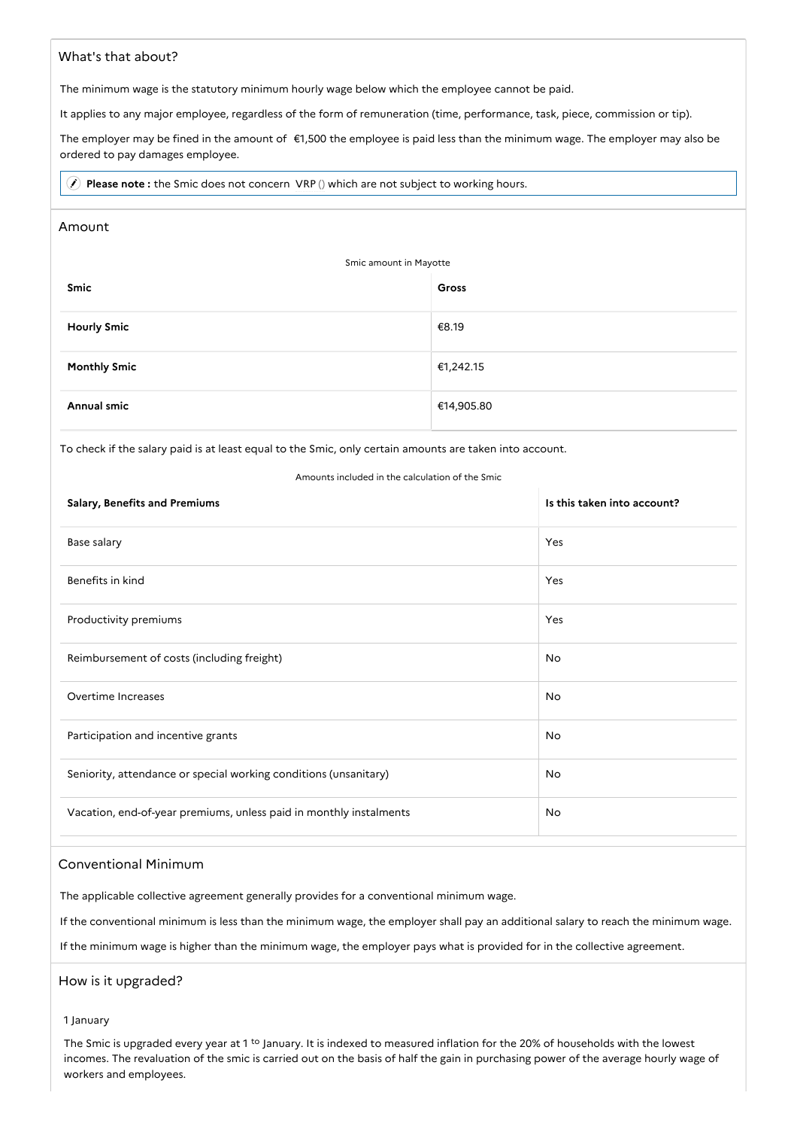## What's that about?

The minimum wage is the statutory minimum hourly wage below which the employee cannot be paid.

It applies to any major employee, regardless of the form of remuneration (time, performance, task, piece, commission or tip).

The employer may be fined in the amount of €1,500 the employee is paid less than the minimum wage. The employer may also be ordered to pay damages employee.

**Please note :** the Smic does not concern VRP () which are not subject to working hours.

#### Amount

| Smic amount in Mayotte |            |  |  |  |
|------------------------|------------|--|--|--|
| Smic                   | Gross      |  |  |  |
| <b>Hourly Smic</b>     | €8.19      |  |  |  |
| <b>Monthly Smic</b>    | €1,242.15  |  |  |  |
| Annual smic            | €14,905.80 |  |  |  |

To check if the salary paid is at least equal to the Smic, only certain amounts are taken into account.

#### Amounts included in the calculation of the Smic

| <b>Salary, Benefits and Premiums</b>                               | Is this taken into account? |
|--------------------------------------------------------------------|-----------------------------|
| Base salary                                                        | Yes                         |
| Benefits in kind                                                   | Yes                         |
| Productivity premiums                                              | Yes                         |
| Reimbursement of costs (including freight)                         | No                          |
| Overtime Increases                                                 | No                          |
| Participation and incentive grants                                 | No                          |
| Seniority, attendance or special working conditions (unsanitary)   | No                          |
| Vacation, end-of-year premiums, unless paid in monthly instalments | No                          |

#### Conventional Minimum

The applicable collective agreement generally provides for a conventional minimum wage.

If the conventional minimum is less than the minimum wage, the employer shall pay an additional salary to reach the minimum wage.

If the minimum wage is higher than the minimum wage, the employer pays what is provided for in the collective agreement.

#### How is it upgraded?

1 January

The Smic is upgraded every year at 1 <sup>to</sup> January. It is indexed to measured inflation for the 20% of households with the lowest incomes. The revaluation of the smic is carried out on the basis of half the gain in purchasing power of the average hourly wage of workers and employees.